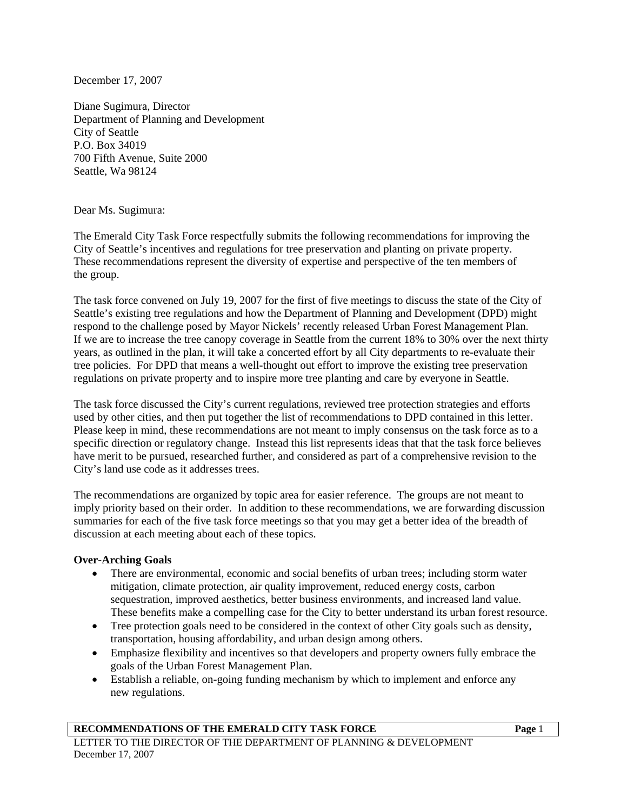December 17, 2007

Diane Sugimura, Director Department of Planning and Development City of Seattle P.O. Box 34019 700 Fifth Avenue, Suite 2000 Seattle, Wa 98124

#### Dear Ms. Sugimura:

The Emerald City Task Force respectfully submits the following recommendations for improving the City of Seattle's incentives and regulations for tree preservation and planting on private property. These recommendations represent the diversity of expertise and perspective of the ten members of the group.

The task force convened on July 19, 2007 for the first of five meetings to discuss the state of the City of Seattle's existing tree regulations and how the Department of Planning and Development (DPD) might respond to the challenge posed by Mayor Nickels' recently released Urban Forest Management Plan. If we are to increase the tree canopy coverage in Seattle from the current 18% to 30% over the next thirty years, as outlined in the plan, it will take a concerted effort by all City departments to re-evaluate their tree policies. For DPD that means a well-thought out effort to improve the existing tree preservation regulations on private property and to inspire more tree planting and care by everyone in Seattle.

The task force discussed the City's current regulations, reviewed tree protection strategies and efforts used by other cities, and then put together the list of recommendations to DPD contained in this letter. Please keep in mind, these recommendations are not meant to imply consensus on the task force as to a specific direction or regulatory change. Instead this list represents ideas that that the task force believes have merit to be pursued, researched further, and considered as part of a comprehensive revision to the City's land use code as it addresses trees.

The recommendations are organized by topic area for easier reference. The groups are not meant to imply priority based on their order. In addition to these recommendations, we are forwarding discussion summaries for each of the five task force meetings so that you may get a better idea of the breadth of discussion at each meeting about each of these topics.

#### **Over-Arching Goals**

- There are environmental, economic and social benefits of urban trees; including storm water mitigation, climate protection, air quality improvement, reduced energy costs, carbon sequestration, improved aesthetics, better business environments, and increased land value. These benefits make a compelling case for the City to better understand its urban forest resource.
- Tree protection goals need to be considered in the context of other City goals such as density, transportation, housing affordability, and urban design among others.
- Emphasize flexibility and incentives so that developers and property owners fully embrace the goals of the Urban Forest Management Plan.
- Establish a reliable, on-going funding mechanism by which to implement and enforce any new regulations.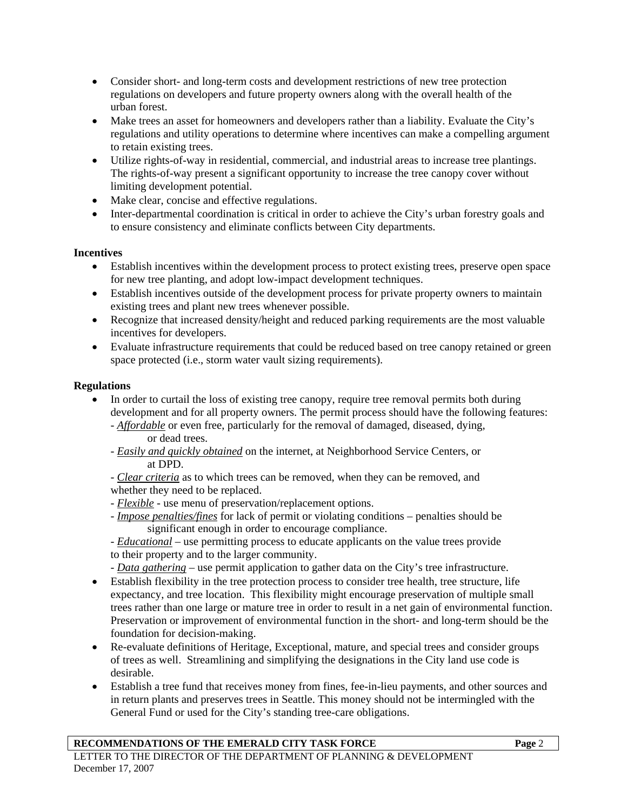- Consider short- and long-term costs and development restrictions of new tree protection regulations on developers and future property owners along with the overall health of the urban forest.
- Make trees an asset for homeowners and developers rather than a liability. Evaluate the City's regulations and utility operations to determine where incentives can make a compelling argument to retain existing trees.
- Utilize rights-of-way in residential, commercial, and industrial areas to increase tree plantings. The rights-of-way present a significant opportunity to increase the tree canopy cover without limiting development potential.
- Make clear, concise and effective regulations.
- Inter-departmental coordination is critical in order to achieve the City's urban forestry goals and to ensure consistency and eliminate conflicts between City departments.

## **Incentives**

- Establish incentives within the development process to protect existing trees, preserve open space for new tree planting, and adopt low-impact development techniques.
- Establish incentives outside of the development process for private property owners to maintain existing trees and plant new trees whenever possible.
- Recognize that increased density/height and reduced parking requirements are the most valuable incentives for developers.
- Evaluate infrastructure requirements that could be reduced based on tree canopy retained or green space protected (i.e., storm water vault sizing requirements).

# **Regulations**

- In order to curtail the loss of existing tree canopy, require tree removal permits both during development and for all property owners. The permit process should have the following features:
	- *Affordable* or even free, particularly for the removal of damaged, diseased, dying, or dead trees.
	- *Easily and quickly obtained* on the internet, at Neighborhood Service Centers, or at DPD.
	- *Clear criteria* as to which trees can be removed, when they can be removed, and whether they need to be replaced.
	- *Flexible* use menu of preservation/replacement options.
	- *Impose penalties/fines* for lack of permit or violating conditions penalties should be significant enough in order to encourage compliance.
	- *Educational* use permitting process to educate applicants on the value trees provide to their property and to the larger community.

- *Data gathering* – use permit application to gather data on the City's tree infrastructure.

- Establish flexibility in the tree protection process to consider tree health, tree structure, life expectancy, and tree location. This flexibility might encourage preservation of multiple small trees rather than one large or mature tree in order to result in a net gain of environmental function. Preservation or improvement of environmental function in the short- and long-term should be the foundation for decision-making.
- Re-evaluate definitions of Heritage, Exceptional, mature, and special trees and consider groups of trees as well. Streamlining and simplifying the designations in the City land use code is desirable.
- Establish a tree fund that receives money from fines, fee-in-lieu payments, and other sources and in return plants and preserves trees in Seattle. This money should not be intermingled with the General Fund or used for the City's standing tree-care obligations.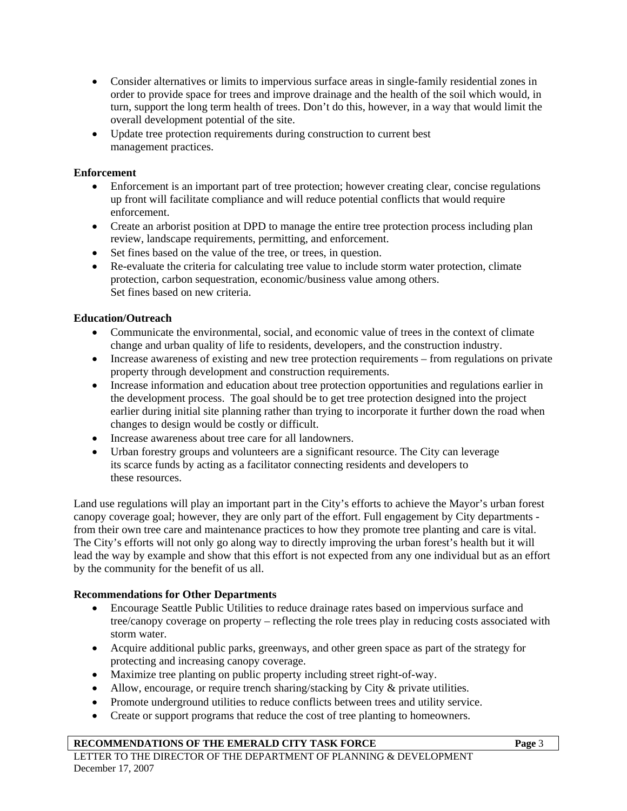- Consider alternatives or limits to impervious surface areas in single-family residential zones in order to provide space for trees and improve drainage and the health of the soil which would, in turn, support the long term health of trees. Don't do this, however, in a way that would limit the overall development potential of the site.
- Update tree protection requirements during construction to current best management practices.

## **Enforcement**

- Enforcement is an important part of tree protection; however creating clear, concise regulations up front will facilitate compliance and will reduce potential conflicts that would require enforcement.
- Create an arborist position at DPD to manage the entire tree protection process including plan review, landscape requirements, permitting, and enforcement.
- Set fines based on the value of the tree, or trees, in question.
- Re-evaluate the criteria for calculating tree value to include storm water protection, climate protection, carbon sequestration, economic/business value among others. Set fines based on new criteria.

## **Education/Outreach**

- Communicate the environmental, social, and economic value of trees in the context of climate change and urban quality of life to residents, developers, and the construction industry.
- Increase awareness of existing and new tree protection requirements from regulations on private property through development and construction requirements.
- Increase information and education about tree protection opportunities and regulations earlier in the development process. The goal should be to get tree protection designed into the project earlier during initial site planning rather than trying to incorporate it further down the road when changes to design would be costly or difficult.
- Increase awareness about tree care for all landowners.
- Urban forestry groups and volunteers are a significant resource. The City can leverage its scarce funds by acting as a facilitator connecting residents and developers to these resources.

Land use regulations will play an important part in the City's efforts to achieve the Mayor's urban forest canopy coverage goal; however, they are only part of the effort. Full engagement by City departments from their own tree care and maintenance practices to how they promote tree planting and care is vital. The City's efforts will not only go along way to directly improving the urban forest's health but it will lead the way by example and show that this effort is not expected from any one individual but as an effort by the community for the benefit of us all.

## **Recommendations for Other Departments**

- Encourage Seattle Public Utilities to reduce drainage rates based on impervious surface and tree/canopy coverage on property – reflecting the role trees play in reducing costs associated with storm water.
- Acquire additional public parks, greenways, and other green space as part of the strategy for protecting and increasing canopy coverage.
- Maximize tree planting on public property including street right-of-way.
- Allow, encourage, or require trench sharing/stacking by City & private utilities.
- Promote underground utilities to reduce conflicts between trees and utility service.
- Create or support programs that reduce the cost of tree planting to homeowners.

#### **RECOMMENDATIONS OF THE EMERALD CITY TASK FORCE Page** 3